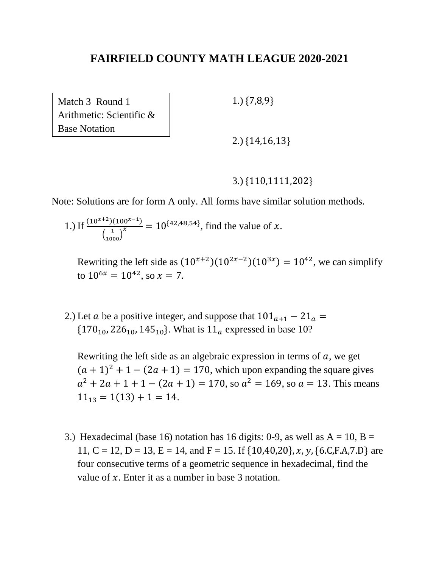Match 3 Round 1 Arithmetic: Scientific & Base Notation

1.) {7,8,9}

2.) {14,16,13}

#### 3.) {110,1111,202}

Note: Solutions are for form A only. All forms have similar solution methods.

1.) If  $\frac{(10^{x+2})(100^{x-1})}{(1-x^x)}$  $\left( \frac{1}{1000} \right)$  $\frac{10^{x} - 1}{x}$  = 10<sup>{42,48,54}</sup>, find the value of x.

Rewriting the left side as  $(10^{x+2})(10^{2x-2})(10^{3x}) = 10^{42}$ , we can simplify to  $10^{6x} = 10^{42}$ , so  $x = 7$ .

2.) Let *a* be a positive integer, and suppose that  $101_{a+1} - 21_a =$  $\{170_{10}, 226_{10}, 145_{10}\}.$  What is  $11_a$  expressed in base 10?

Rewriting the left side as an algebraic expression in terms of  $a$ , we get  $(a + 1)^2 + 1 - (2a + 1) = 170$ , which upon expanding the square gives  $a^{2} + 2a + 1 + 1 - (2a + 1) = 170$ , so  $a^{2} = 169$ , so  $a = 13$ . This means  $11_{13} = 1(13) + 1 = 14.$ 

3.) Hexadecimal (base 16) notation has 16 digits: 0-9, as well as  $A = 10$ ,  $B =$ 11, C = 12, D = 13, E = 14, and F = 15. If  $\{10,40,20\}$ , x, y,  $\{6.C.F.A.7.D\}$  are four consecutive terms of a geometric sequence in hexadecimal, find the value of  $x$ . Enter it as a number in base 3 notation.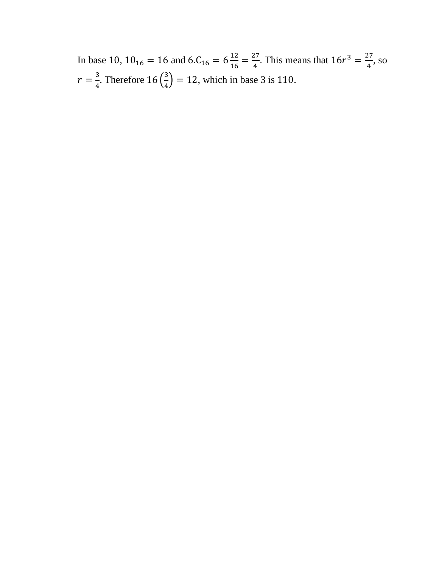In base 10,  $10_{16} = 16$  and  $6.C_{16} = 6\frac{12}{16}$  $\frac{12}{16} = \frac{27}{4}$  $\frac{27}{4}$ . This means that  $16r^3 = \frac{27}{4}$  $\frac{27}{4}$ , so  $r=\frac{3}{4}$  $\frac{3}{4}$ . Therefore 16  $\left(\frac{3}{4}\right)$  $\left(\frac{3}{4}\right)$  = 12, which in base 3 is 110.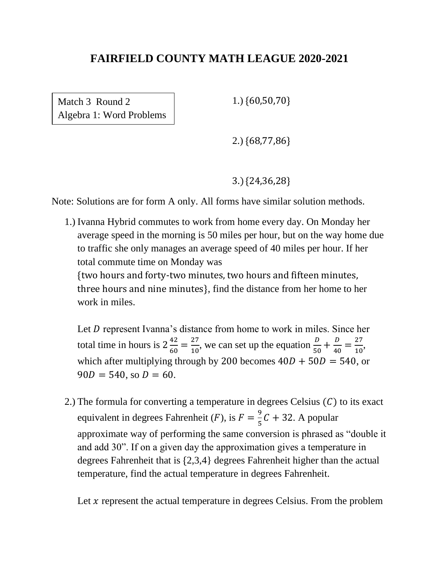Match 3 Round 2 Algebra 1: Word Problems 1.) {60,50,70}

2.) {68,77,86}

3.) {24,36,28}

Note: Solutions are for form A only. All forms have similar solution methods.

1.) Ivanna Hybrid commutes to work from home every day. On Monday her average speed in the morning is 50 miles per hour, but on the way home due to traffic she only manages an average speed of 40 miles per hour. If her total commute time on Monday was {two hours and forty-two minutes, two hours and fifteen minutes, three hours and nine minutes}, find the distance from her home to her work in miles.

Let  $D$  represent Ivanna's distance from home to work in miles. Since her total time in hours is  $2\frac{42}{62}$  $\frac{42}{60} = \frac{27}{10}$  $\frac{27}{10}$ , we can set up the equation  $\frac{D}{50} + \frac{D}{40}$  $rac{D}{40} = \frac{27}{10}$  $\frac{27}{10}$ , which after multiplying through by 200 becomes  $40D + 50D = 540$ , or  $90D = 540$ , so  $D = 60$ .

2.) The formula for converting a temperature in degrees Celsius  $(C)$  to its exact equivalent in degrees Fahrenheit (*F*), is  $F = \frac{9}{5}$  $\frac{5}{5}C + 32$ . A popular approximate way of performing the same conversion is phrased as "double it and add 30". If on a given day the approximation gives a temperature in degrees Fahrenheit that is {2,3,4} degrees Fahrenheit higher than the actual temperature, find the actual temperature in degrees Fahrenheit.

Let  $x$  represent the actual temperature in degrees Celsius. From the problem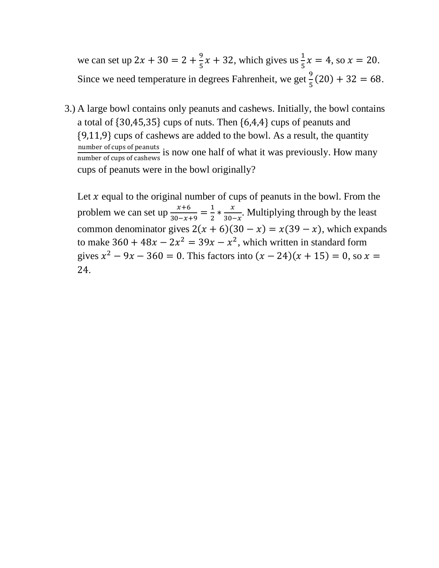we can set up  $2x + 30 = 2 + \frac{9}{5}$  $\frac{9}{5}x + 32$ , which gives us  $\frac{1}{5}x = 4$ , so  $x = 20$ . Since we need temperature in degrees Fahrenheit, we get  $\frac{9}{5}(20) + 32 = 68$ .

3.) A large bowl contains only peanuts and cashews. Initially, the bowl contains a total of {30,45,35} cups of nuts. Then {6,4,4} cups of peanuts and {9,11,9} cups of cashews are added to the bowl. As a result, the quantity number of cups of peanuts is now one half of what it was previously. How many number of cups of cashews is cups of peanuts were in the bowl originally?

Let  $x$  equal to the original number of cups of peanuts in the bowl. From the problem we can set up  $\frac{x+6}{30-x+9} = \frac{1}{2}$  $\frac{1}{2} * \frac{x}{30}$  $\frac{x}{30-x}$ . Multiplying through by the least common denominator gives  $2(x + 6)(30 - x) = x(39 - x)$ , which expands to make  $360 + 48x - 2x^2 = 39x - x^2$ , which written in standard form gives  $x^2 - 9x - 360 = 0$ . This factors into  $(x - 24)(x + 15) = 0$ , so  $x =$ 24.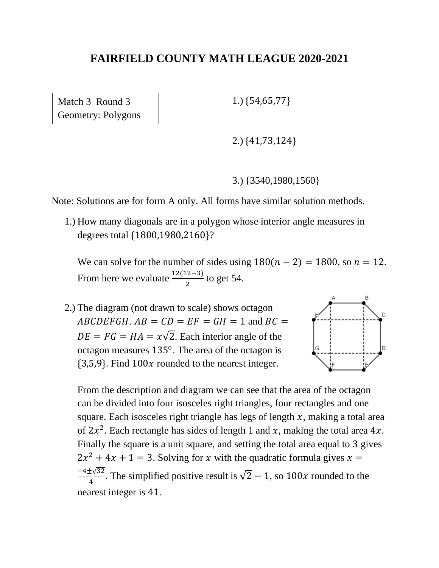Match 3 Round 3 Geometry: Polygons 1.) {54,65,77}

2.) {41,73,124}

3.) {3540,1980,1560}

Note: Solutions are for form A only. All forms have similar solution methods.

1.) How many diagonals are in a polygon whose interior angle measures in degrees total {1800,1980,2160}?

We can solve for the number of sides using  $180(n - 2) = 1800$ , so  $n = 12$ . From here we evaluate  $\frac{12(12-3)}{2}$  to get 54.

2.) The diagram (not drawn to scale) shows octagon  $ABCDEFGH$ .  $AB = CD = EF = GH = 1$  and  $BC =$  $DE = FG = HA = x\sqrt{2}$ . Each interior angle of the octagon measures  $135^{\circ}$ . The area of the octagon is  ${3,5,9}$ . Find  $100x$  rounded to the nearest integer.



From the description and diagram we can see that the area of the octagon can be divided into four isosceles right triangles, four rectangles and one square. Each isosceles right triangle has legs of length  $x$ , making a total area of  $2x^2$ . Each rectangle has sides of length 1 and x, making the total area 4x. Finally the square is a unit square, and setting the total area equal to 3 gives  $2x^2 + 4x + 1 = 3$ . Solving for x with the quadratic formula gives  $x =$ −4±√32  $\frac{1}{4}$ . The simplified positive result is  $\sqrt{2} - 1$ , so  $100x$  rounded to the nearest integer is 41.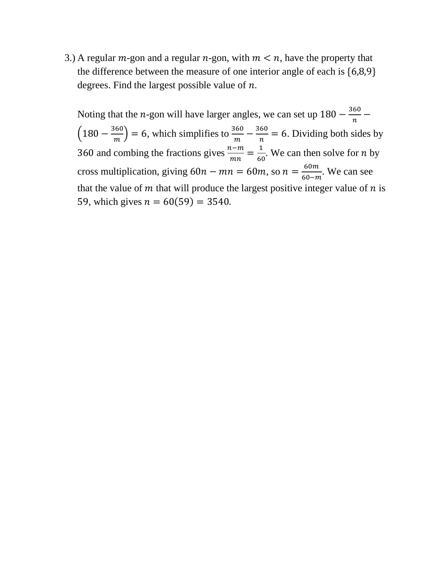3.) A regular  $m$ -gon and a regular  $n$ -gon, with  $m < n$ , have the property that the difference between the measure of one interior angle of each is {6,8,9} degrees. Find the largest possible value of  $n$ .

Noting that the *n*-gon will have larger angles, we can set up  $180 - \frac{360}{\pi}$  $\frac{60}{n}$  –  $\left(180 - \frac{360}{\mu}\right)$  $\left(\frac{360}{m}\right)$  = 6, which simplifies to  $\frac{360}{m} - \frac{360}{n}$  $\frac{60}{n}$  = 6. Dividing both sides by 360 and combing the fractions gives  $\frac{n-m}{mn} = \frac{1}{60}$  $\frac{1}{60}$ . We can then solve for *n* by cross multiplication, giving  $60n - mn = 60m$ , so  $n = \frac{60m}{60m}$  $\frac{60m}{60-m}$ . We can see that the value of  $m$  that will produce the largest positive integer value of  $n$  is 59, which gives  $n = 60(59) = 3540$ .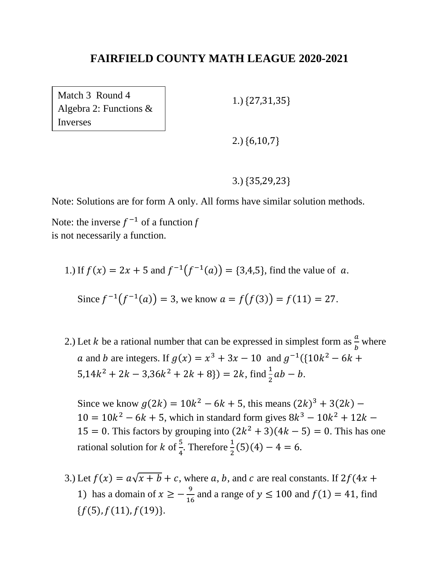Match 3 Round 4 Algebra 2: Functions & Inverses

1.) {27,31,35}

2.) {6,10,7}

3.) {35,29,23}

Note: Solutions are for form A only. All forms have similar solution methods.

Note: the inverse  $f^{-1}$  of a function  $f$ is not necessarily a function.

1.) If 
$$
f(x) = 2x + 5
$$
 and  $f^{-1}(f^{-1}(a)) = \{3,4,5\}$ , find the value of a.

Since 
$$
f^{-1}(f^{-1}(a)) = 3
$$
, we know  $a = f(f(3)) = f(11) = 27$ .

2.) Let *k* be a rational number that can be expressed in simplest form as  $\frac{a}{b}$  where a and b are integers. If  $g(x) = x^3 + 3x - 10$  and  $g^{-1}({10k^2 - 6k + }$  $5,14k^2 + 2k - 3,36k^2 + 2k + 8$   $) = 2k$ , find  $\frac{1}{2}ab - b$ .

Since we know  $g(2k) = 10k^2 - 6k + 5$ , this means  $(2k)^3 + 3(2k)$  –  $10 = 10k^2 - 6k + 5$ , which in standard form gives  $8k^3 - 10k^2 + 12k - 1$ 15 = 0. This factors by grouping into  $(2k^2 + 3)(4k - 5) = 0$ . This has one rational solution for  $k$  of  $\frac{5}{4}$ . Therefore  $\frac{1}{2}(5)(4) - 4 = 6$ .

3.) Let  $f(x) = a\sqrt{x + b} + c$ , where a, b, and c are real constants. If  $2f(4x +$ 1) has a domain of  $x \geq -\frac{9}{16}$  $\frac{9}{16}$  and a range of  $y \le 100$  and  $f(1) = 41$ , find  ${f(5), f(11), f(19)}.$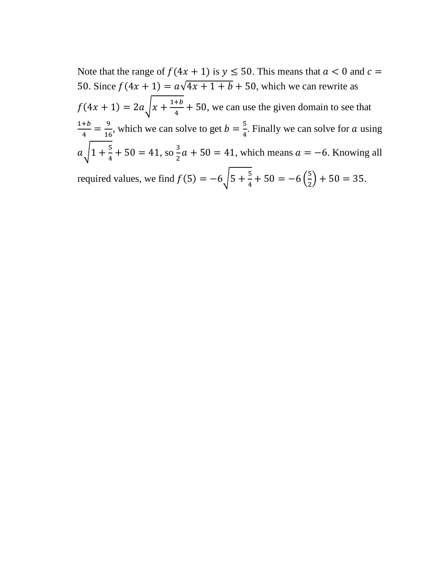Note that the range of  $f(4x + 1)$  is  $y \le 50$ . This means that  $a < 0$  and  $c =$ 50. Since  $f(4x + 1) = a\sqrt{4x + 1 + b} + 50$ , which we can rewrite as  $f(4x + 1) = 2a\sqrt{x + \frac{1+b}{4}}$  $\frac{+b}{4}$  + 50, we can use the given domain to see that  $1+b$  $\frac{+b}{4} = \frac{9}{16}$  $\frac{9}{16}$ , which we can solve to get  $b = \frac{5}{4}$  $\frac{3}{4}$ . Finally we can solve for a using  $a_1/1 + \frac{5}{4}$  $\frac{5}{4} + 50 = 41$ , so  $\frac{3}{2}$  $\frac{3}{2}a + 50 = 41$ , which means  $a = -6$ . Knowing all required values, we find  $f(5) = -6\sqrt{5} + \frac{5}{4}$  $\frac{5}{4} + 50 = -6\left(\frac{5}{2}\right)$  $(\frac{3}{2}) + 50 = 35.$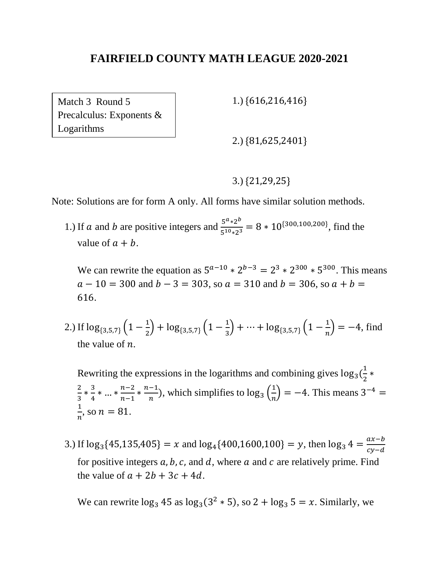Match 3 Round 5 Precalculus: Exponents & Logarithms

1.) {616,216,416}

2.) {81,625,2401}

#### 3.) {21,29,25}

Note: Solutions are for form A only. All forms have similar solution methods.

1.) If *a* and *b* are positive integers and  $\frac{5^{a} \times 2^{b}}{5^{10} \times 3^{25}}$  $rac{5^{10}*2^{10}}{5^{10}*2^3}$  = 8 \* 10<sup>{300,100,200}</sup>, find the value of  $a + b$ .

We can rewrite the equation as  $5^{a-10} * 2^{b-3} = 2^3 * 2^{300} * 5^{300}$ . This means  $a - 10 = 300$  and  $b - 3 = 303$ , so  $a = 310$  and  $b = 306$ , so  $a + b = 10$ 616.

2.) If  $\log_{\{3,5,7\}} \left(1 - \frac{1}{2}\right)$  $\frac{1}{2}$  + log<sub>{3,5,7}</sub>  $\left(1-\frac{1}{3}\right)$  $\frac{1}{3}$  + … + log<sub>{3,5,7}</sub>  $\left(1 - \frac{1}{n}\right)$  $\left(\frac{1}{n}\right) = -4$ , find the value of  $n$ .

Rewriting the expressions in the logarithms and combining gives  $\log_3(\frac{1}{2})$  $\frac{1}{2}$  \* 2  $\frac{2}{3} * \frac{3}{4}$  $\frac{3}{4} * ... * \frac{n-2}{n-1}$  $\frac{n-2}{n-1} * \frac{n-1}{n}$  $\frac{-1}{n}$ ), which simplifies to  $\log_3\left(\frac{1}{n}\right)$  $\left(\frac{1}{n}\right) = -4$ . This means 3<sup>-4</sup> = 1  $\frac{1}{n}$ , so  $n = 81$ .

3.) If  $\log_3{45,135,405} = x$  and  $\log_4{400,1600,100} = y$ , then  $\log_3{4} = \frac{ax-b}{cx-d}$  $cy-d$ for positive integers  $a, b, c$ , and  $d$ , where  $a$  and  $c$  are relatively prime. Find the value of  $a + 2b + 3c + 4d$ .

We can rewrite  $\log_3 45$  as  $\log_3(3^2 * 5)$ , so  $2 + \log_3 5 = x$ . Similarly, we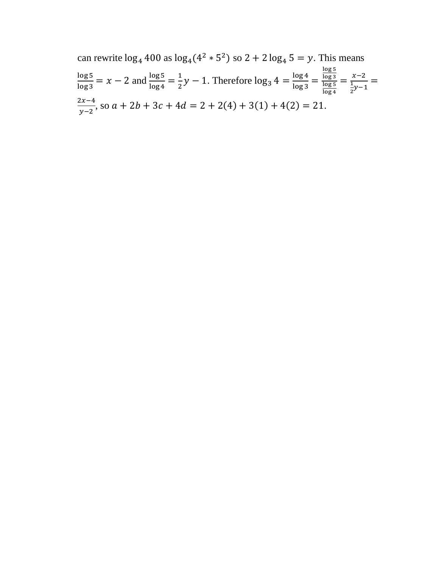can rewrite  $log_4 400$  as  $log_4(4^2 * 5^2)$  so  $2 + 2 log_4 5 = y$ . This means log 5  $\frac{\log 5}{\log 3}$  = x - 2 and  $\frac{\log 5}{\log 4}$  =  $\frac{1}{2}$  $\frac{1}{2}y - 1$ . Therefore  $\log_3 4 = \frac{\log 4}{\log 3}$  $\frac{\log 4}{\log 3} =$ log 5 log 3 log 5 log 4  $=\frac{x-2}{1}$ 1  $\frac{\frac{x-2}{2}}{2y-1}$  =  $2x-4$  $\frac{2x-4}{y-2}$ , so  $a + 2b + 3c + 4d = 2 + 2(4) + 3(1) + 4(2) = 21$ .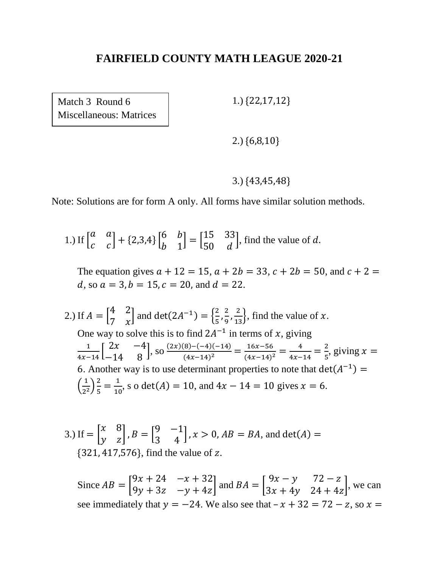Match 3 Round 6 Miscellaneous: Matrices 1.) {22,17,12}

2.) {6,8,10}

#### 3.) {43,45,48}

Note: Solutions are for form A only. All forms have similar solution methods.

 $1.)$  If  $\vert$ a a  $\begin{bmatrix} a & a \\ c & c \end{bmatrix} + \{2,3,4\} \begin{bmatrix} 6 & b \\ b & 1 \end{bmatrix}$ b 1  $=\begin{bmatrix} 15 & 33 \\ 50 & 3 \end{bmatrix}$ 50 d , find the value of  $d$ .

The equation gives  $a + 12 = 15$ ,  $a + 2b = 33$ ,  $c + 2b = 50$ , and  $c + 2 =$ d, so  $a = 3$ ,  $b = 15$ ,  $c = 20$ , and  $d = 22$ .

2.) If  $A = \begin{bmatrix} 4 & 2 \\ 7 & 2 \end{bmatrix}$ 7  $\chi$ and det(2 $A^{-1}$ ) =  $\frac{2}{5}$  $\frac{2}{5}$ ,  $\frac{2}{9}$  $\left(\frac{2}{9}, \frac{2}{13}\right)$ , find the value of x. One way to solve this is to find  $2A^{-1}$  in terms of x, giving  $\frac{1}{4x-14}$  $\begin{bmatrix} 2x & -4 \\ -14 & 8 \end{bmatrix}$ −14 8  $\Big|$ , so  $\frac{(2x)(8)-(-4)(-14)}{(4x-14)^2}$  $\frac{(8)-(-4)(-14)}{(4x-14)^2} = \frac{16x-56}{(4x-14)^2}$  $\frac{16x-56}{(4x-14)^2} = \frac{4}{4x-14}$  $\frac{4}{4x-14} = \frac{2}{5}$  $\frac{2}{5}$ , giving  $x =$ 6. Another way is to use determinant properties to note that  $det(A^{-1}) =$  $\left(\frac{1}{2}\right)$  $\frac{1}{2^2}$  $\frac{2}{5}$  $\frac{2}{5} = \frac{1}{10}$  $\frac{1}{10}$ , s o det(*A*) = 10, and 4*x* - 14 = 10 gives *x* = 6.

3.) If 
$$
= \begin{bmatrix} x & 8 \\ y & z \end{bmatrix}
$$
,  $B = \begin{bmatrix} 9 & -1 \\ 3 & 4 \end{bmatrix}$ ,  $x > 0$ ,  $AB = BA$ , and  $det(A) =$   
{321, 417,576}, find the value of z.

Since  $AB =$  $9x + 24 - x + 32$  $9y + 3z$   $-y + 4z$  and  $BA =$  $9x - y$  72 – z  $3x + 4y$   $24 + 4z$ , we can see immediately that  $y = -24$ . We also see that  $-x + 32 = 72 - z$ , so  $x =$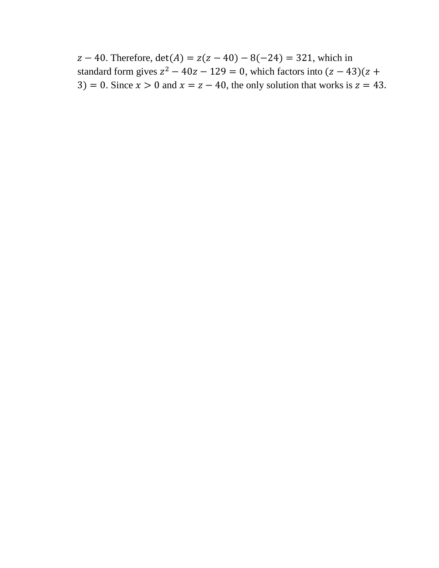$z - 40$ . Therefore,  $det(A) = z(z - 40) - 8(-24) = 321$ , which in standard form gives  $z^2 - 40z - 129 = 0$ , which factors into  $(z - 43)(z +$ 3) = 0. Since  $x > 0$  and  $x = z - 40$ , the only solution that works is  $z = 43$ .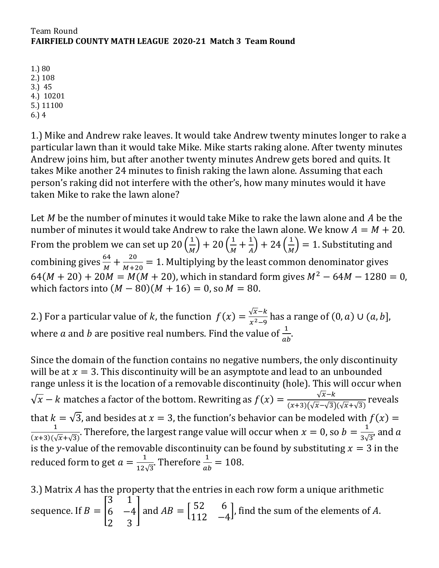1.) 80 2.) 108 3.) 45 4.) 10201 5.) 11100 6.) 4

1.) Mike and Andrew rake leaves. It would take Andrew twenty minutes longer to rake a particular lawn than it would take Mike. Mike starts raking alone. After twenty minutes Andrew joins him, but after another twenty minutes Andrew gets bored and quits. It takes Mike another 24 minutes to finish raking the lawn alone. Assuming that each person's raking did not interfere with the other's, how many minutes would it have taken Mike to rake the lawn alone?

Let  $M$  be the number of minutes it would take Mike to rake the lawn alone and  $A$  be the number of minutes it would take Andrew to rake the lawn alone. We know  $A = M + 20$ . From the problem we can set up 20  $\left(\frac{1}{M}\right)$  $\frac{1}{M}$ ) + 20  $\left(\frac{1}{M}\right)$  $\frac{1}{M} + \frac{1}{A}$  $\binom{1}{A}$  + 24  $\binom{1}{M}$  $\frac{1}{M}$ ) = 1. Substituting and combining gives  $\frac{64}{M} + \frac{20}{M+2}$  $\frac{20}{M+20}$  = 1. Multiplying by the least common denominator gives  $64(M + 20) + 20M = M(M + 20)$ , which in standard form gives  $M^2 - 64M - 1280 = 0$ , which factors into  $(M - 80)(M + 16) = 0$ , so  $M = 80$ .

2.) For a particular value of k, the function  $f(x) = \frac{\sqrt{x-k}}{x^2-0}$  $\frac{\sqrt{x}-k}{x^2-9}$  has a range of  $(0, a) \cup (a, b]$ , where  $a$  and  $b$  are positive real numbers. Find the value of  $\frac{1}{ab}$ .

Since the domain of the function contains no negative numbers, the only discontinuity will be at  $x = 3$ . This discontinuity will be an asymptote and lead to an unbounded range unless it is the location of a removable discontinuity (hole). This will occur when  $\sqrt{x} - k$  matches a factor of the bottom. Rewriting as  $f(x) = \frac{\sqrt{x} - k}{(x + 2)(\sqrt{x} - \sqrt{x})}$  $\frac{\sqrt{x-k}}{(x+3)(\sqrt{x}-\sqrt{3})(\sqrt{x}+\sqrt{3})}$  reveals that  $k = \sqrt{3}$ , and besides at  $x = 3$ , the function's behavior can be modeled with  $f(x) =$ 1  $\frac{1}{(x+3)(\sqrt{x}+\sqrt{3})}$ . Therefore, the largest range value will occur when  $x=0$ , so  $b=\frac{1}{3\sqrt{3}}$  $\frac{1}{3\sqrt{3}}$ , and a is the y-value of the removable discontinuity can be found by substituting  $x = 3$  in the reduced form to get  $a=\frac{1}{12}$  $\frac{1}{12\sqrt{3}}$ . Therefore  $\frac{1}{ab} = 108$ .

3.) Matrix  $A$  has the property that the entries in each row form a unique arithmetic sequence. If  $B = |$ 3 1  $6 -4$ 2 3  $\int$  and  $AB = \begin{bmatrix} 52 & 6 \\ 112 & 5 \end{bmatrix}$ 112 −4  $\vert$ , find the sum of the elements of A.